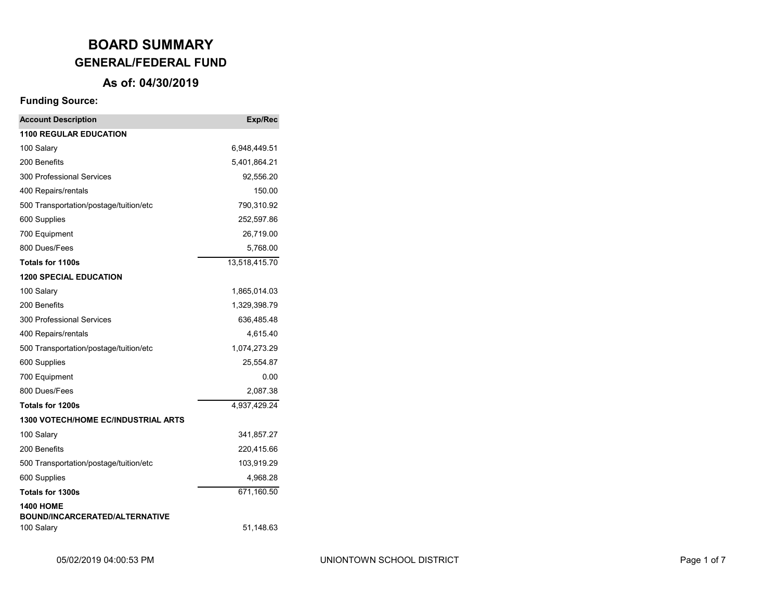### **As of: 04/30/2019**

| <b>Account Description</b>                          | Exp/Rec       |
|-----------------------------------------------------|---------------|
| <b>1100 REGULAR EDUCATION</b>                       |               |
| 100 Salary                                          | 6,948,449.51  |
| 200 Benefits                                        | 5,401,864.21  |
| 300 Professional Services                           | 92,556.20     |
| 400 Repairs/rentals                                 | 150.00        |
| 500 Transportation/postage/tuition/etc              | 790,310.92    |
| 600 Supplies                                        | 252,597.86    |
| 700 Equipment                                       | 26,719.00     |
| 800 Dues/Fees                                       | 5,768.00      |
| <b>Totals for 1100s</b>                             | 13,518,415.70 |
| <b>1200 SPECIAL EDUCATION</b>                       |               |
| 100 Salary                                          | 1,865,014.03  |
| 200 Benefits                                        | 1,329,398.79  |
| 300 Professional Services                           | 636,485.48    |
| 400 Repairs/rentals                                 | 4,615.40      |
| 500 Transportation/postage/tuition/etc              | 1,074,273.29  |
| 600 Supplies                                        | 25,554.87     |
| 700 Equipment                                       | 0.00          |
| 800 Dues/Fees                                       | 2,087.38      |
| <b>Totals for 1200s</b>                             | 4,937,429.24  |
| <b>1300 VOTECH/HOME EC/INDUSTRIAL ARTS</b>          |               |
| 100 Salary                                          | 341,857.27    |
| 200 Benefits                                        | 220,415.66    |
| 500 Transportation/postage/tuition/etc              | 103,919.29    |
| 600 Supplies                                        | 4,968.28      |
| <b>Totals for 1300s</b>                             | 671,160.50    |
| <b>1400 HOME</b>                                    |               |
| <b>BOUND/INCARCERATED/ALTERNATIVE</b><br>100 Salary | 51,148.63     |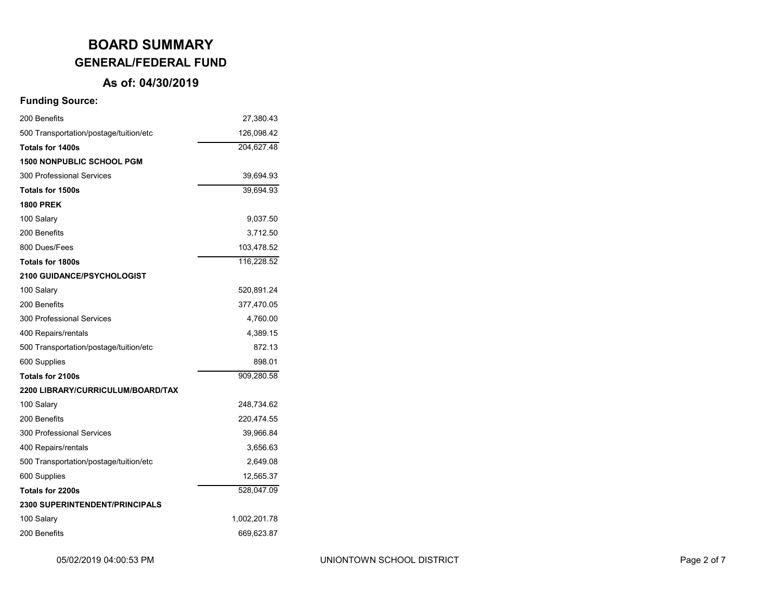### **As of: 04/30/2019**

| 200 Benefits                           | 27,380.43    |
|----------------------------------------|--------------|
| 500 Transportation/postage/tuition/etc | 126,098.42   |
| <b>Totals for 1400s</b>                | 204,627.48   |
| <b>1500 NONPUBLIC SCHOOL PGM</b>       |              |
| 300 Professional Services              | 39,694.93    |
| <b>Totals for 1500s</b>                | 39,694.93    |
| <b>1800 PREK</b>                       |              |
| 100 Salary                             | 9,037.50     |
| 200 Benefits                           | 3,712.50     |
| 800 Dues/Fees                          | 103,478.52   |
| <b>Totals for 1800s</b>                | 116,228.52   |
| <b>2100 GUIDANCE/PSYCHOLOGIST</b>      |              |
| 100 Salary                             | 520,891.24   |
| 200 Benefits                           | 377,470.05   |
| 300 Professional Services              | 4,760.00     |
| 400 Repairs/rentals                    | 4,389.15     |
| 500 Transportation/postage/tuition/etc | 872.13       |
| 600 Supplies                           | 898.01       |
| <b>Totals for 2100s</b>                | 909,280.58   |
| 2200 LIBRARY/CURRICULUM/BOARD/TAX      |              |
| 100 Salary                             | 248,734.62   |
| 200 Benefits                           | 220,474.55   |
| 300 Professional Services              | 39,966.84    |
| 400 Repairs/rentals                    | 3,656.63     |
| 500 Transportation/postage/tuition/etc | 2,649.08     |
| 600 Supplies                           | 12,565.37    |
| <b>Totals for 2200s</b>                | 528,047.09   |
| <b>2300 SUPERINTENDENT/PRINCIPALS</b>  |              |
| 100 Salary                             | 1,002,201.78 |
| 200 Benefits                           | 669,623.87   |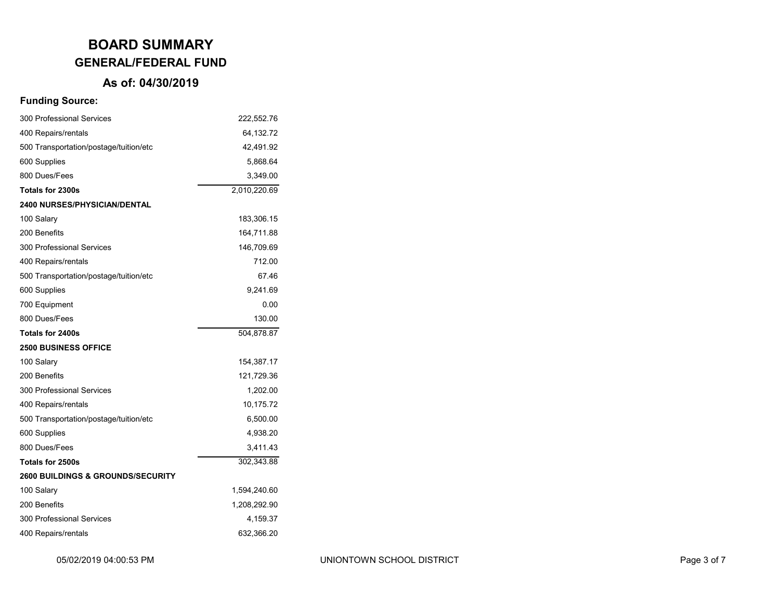### **As of: 04/30/2019**

| 300 Professional Services                    | 222,552.76   |
|----------------------------------------------|--------------|
| 400 Repairs/rentals                          | 64,132.72    |
| 500 Transportation/postage/tuition/etc       | 42,491.92    |
| 600 Supplies                                 | 5,868.64     |
| 800 Dues/Fees                                | 3,349.00     |
| Totals for 2300s                             | 2,010,220.69 |
| <b>2400 NURSES/PHYSICIAN/DENTAL</b>          |              |
| 100 Salary                                   | 183,306.15   |
| 200 Benefits                                 | 164,711.88   |
| 300 Professional Services                    | 146,709.69   |
| 400 Repairs/rentals                          | 712.00       |
| 500 Transportation/postage/tuition/etc       | 67.46        |
| 600 Supplies                                 | 9,241.69     |
| 700 Equipment                                | 0.00         |
| 800 Dues/Fees                                | 130.00       |
| Totals for 2400s                             | 504,878.87   |
| <b>2500 BUSINESS OFFICE</b>                  |              |
| 100 Salary                                   | 154,387.17   |
| 200 Benefits                                 | 121,729.36   |
| 300 Professional Services                    | 1,202.00     |
| 400 Repairs/rentals                          | 10,175.72    |
| 500 Transportation/postage/tuition/etc       | 6,500.00     |
| 600 Supplies                                 | 4,938.20     |
| 800 Dues/Fees                                | 3,411.43     |
| Totals for 2500s                             | 302,343.88   |
| <b>2600 BUILDINGS &amp; GROUNDS/SECURITY</b> |              |
| 100 Salary                                   | 1,594,240.60 |
| 200 Benefits                                 | 1,208,292.90 |
| 300 Professional Services                    | 4,159.37     |
| 400 Repairs/rentals                          | 632,366.20   |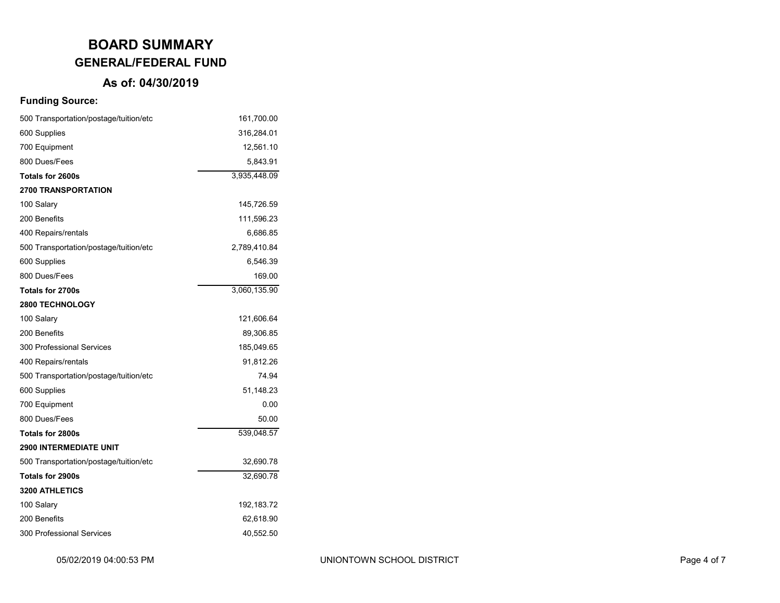### **As of: 04/30/2019**

| 500 Transportation/postage/tuition/etc | 161,700.00   |  |  |
|----------------------------------------|--------------|--|--|
| 600 Supplies                           | 316,284.01   |  |  |
| 700 Equipment                          | 12,561.10    |  |  |
| 800 Dues/Fees                          | 5,843.91     |  |  |
| Totals for 2600s                       | 3,935,448.09 |  |  |
| <b>2700 TRANSPORTATION</b>             |              |  |  |
| 100 Salary                             | 145,726.59   |  |  |
| 200 Benefits<br>111,596.23             |              |  |  |
| 400 Repairs/rentals                    | 6,686.85     |  |  |
| 500 Transportation/postage/tuition/etc | 2,789,410.84 |  |  |
| 600 Supplies                           | 6,546.39     |  |  |
| 800 Dues/Fees                          | 169.00       |  |  |
| <b>Totals for 2700s</b>                | 3,060,135.90 |  |  |
| 2800 TECHNOLOGY                        |              |  |  |
| 100 Salary                             | 121,606.64   |  |  |
| 200 Benefits                           | 89,306.85    |  |  |
| 300 Professional Services              | 185,049.65   |  |  |
| 400 Repairs/rentals                    | 91,812.26    |  |  |
| 500 Transportation/postage/tuition/etc | 74.94        |  |  |
| 600 Supplies                           | 51,148.23    |  |  |
| 700 Equipment                          | 0.00         |  |  |
| 800 Dues/Fees                          | 50.00        |  |  |
| <b>Totals for 2800s</b>                | 539,048.57   |  |  |
| <b>2900 INTERMEDIATE UNIT</b>          |              |  |  |
| 500 Transportation/postage/tuition/etc | 32,690.78    |  |  |
| Totals for 2900s                       | 32,690.78    |  |  |
| <b>3200 ATHLETICS</b>                  |              |  |  |
| 100 Salary                             | 192, 183. 72 |  |  |
| 200 Benefits<br>62,618.90              |              |  |  |
| 300 Professional Services<br>40,552.50 |              |  |  |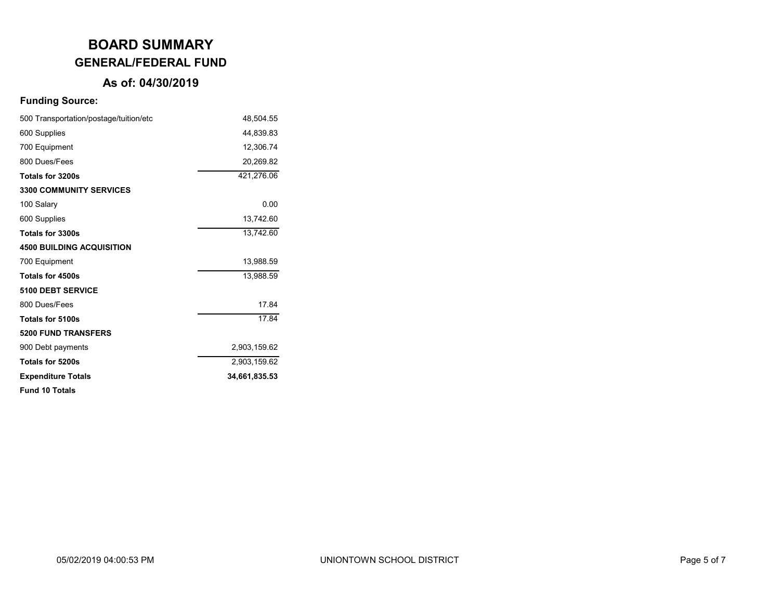### **As of: 04/30/2019**

| 500 Transportation/postage/tuition/etc | 48,504.55     |
|----------------------------------------|---------------|
| 600 Supplies                           | 44,839.83     |
| 700 Equipment                          | 12,306.74     |
| 800 Dues/Fees                          | 20,269.82     |
| Totals for 3200s                       | 421,276.06    |
| <b>3300 COMMUNITY SERVICES</b>         |               |
| 100 Salary                             | 0.00          |
| 600 Supplies                           | 13,742.60     |
| Totals for 3300s                       | 13,742.60     |
| <b>4500 BUILDING ACQUISITION</b>       |               |
| 700 Equipment                          | 13,988.59     |
| Totals for 4500s                       | 13,988.59     |
| <b>5100 DEBT SERVICE</b>               |               |
| 800 Dues/Fees                          | 17.84         |
| <b>Totals for 5100s</b>                | 17.84         |
| <b>5200 FUND TRANSFERS</b>             |               |
| 900 Debt payments                      | 2,903,159.62  |
| Totals for 5200s                       | 2,903,159.62  |
| <b>Expenditure Totals</b>              | 34,661,835.53 |
| <b>Fund 10 Totals</b>                  |               |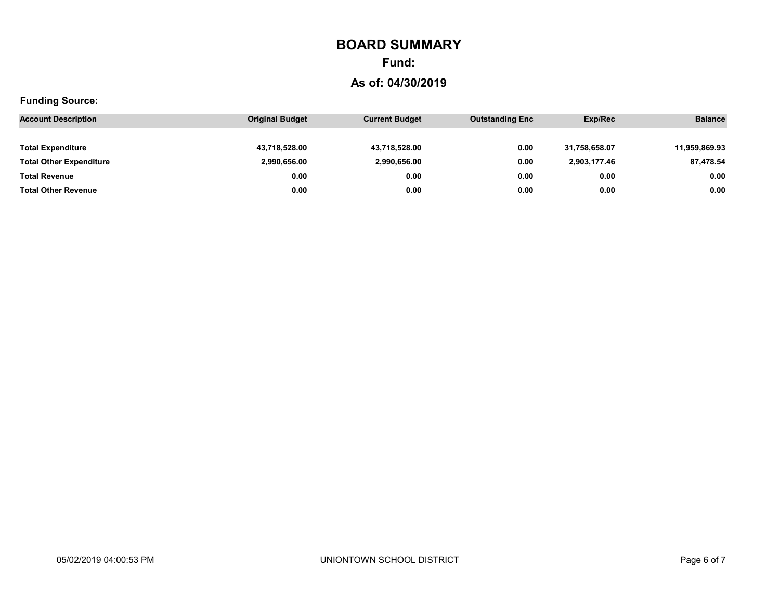# **BOARD SUMMARY**

## **Fund:**

### **As of: 04/30/2019**

| <b>Account Description</b>     | <b>Original Budget</b> | <b>Current Budget</b> | <b>Outstanding Enc</b> | Exp/Rec       | <b>Balance</b> |
|--------------------------------|------------------------|-----------------------|------------------------|---------------|----------------|
|                                |                        |                       |                        |               |                |
| <b>Total Expenditure</b>       | 43,718,528.00          | 43,718,528.00         | 0.00                   | 31,758,658.07 | 11,959,869.93  |
| <b>Total Other Expenditure</b> | 2,990,656.00           | 2,990,656.00          | 0.00                   | 2,903,177.46  | 87,478.54      |
| <b>Total Revenue</b>           | 0.00                   | 0.00                  | 0.00                   | 0.00          | 0.00           |
| <b>Total Other Revenue</b>     | 0.00                   | 0.00                  | 0.00                   | 0.00          | 0.00           |